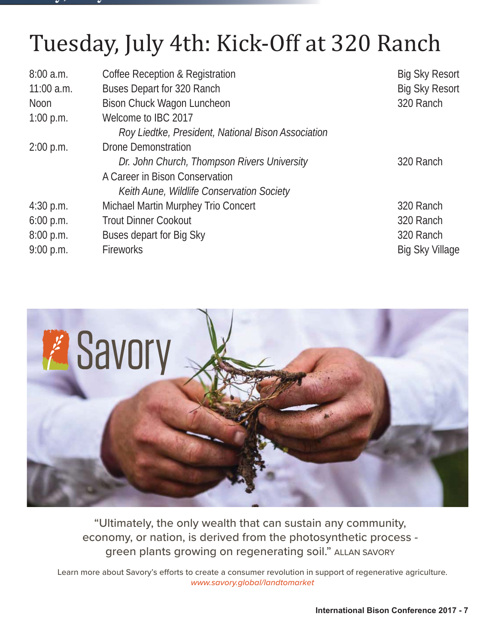#### **y, y**

# Tuesday, July 4th: Kick-Off at 320 Ranch

| 8:00a.m.     | Coffee Reception & Registration                    | <b>Big Sky Resort</b>  |
|--------------|----------------------------------------------------|------------------------|
| $11:00$ a.m. | Buses Depart for 320 Ranch                         | <b>Big Sky Resort</b>  |
| <b>Noon</b>  | Bison Chuck Wagon Luncheon                         | 320 Ranch              |
| 1:00 p.m.    | Welcome to IBC 2017                                |                        |
|              | Roy Liedtke, President, National Bison Association |                        |
| $2:00$ p.m.  | <b>Drone Demonstration</b>                         |                        |
|              | Dr. John Church, Thompson Rivers University        | 320 Ranch              |
|              | A Career in Bison Conservation                     |                        |
|              | Keith Aune, Wildlife Conservation Society          |                        |
| $4:30$ p.m.  | Michael Martin Murphey Trio Concert                | 320 Ranch              |
| 6:00 p.m.    | <b>Trout Dinner Cookout</b>                        | 320 Ranch              |
| 8:00 p.m.    | Buses depart for Big Sky                           | 320 Ranch              |
| 9:00 p.m.    | Fireworks                                          | <b>Big Sky Village</b> |
|              |                                                    |                        |



"Ultimately, the only wealth that can sustain any community, economy, or nation, is derived from the photosynthetic process green plants growing on regenerating soil." ALLAN SAVORY

Learn more about Savory's efforts to create a consumer revolution in support of regenerative agriculture. www.savory.global/landtomarket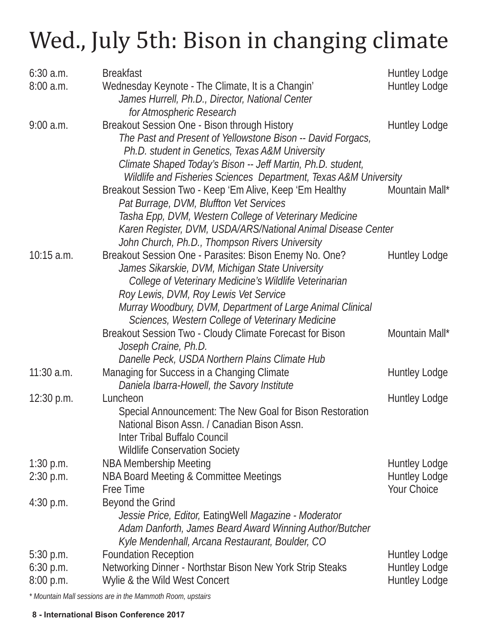# Wed., July 5th: Bison in changing climate

| $6:30$ a.m.  | <b>Breakfast</b>                                                                                         | Huntley Lodge        |
|--------------|----------------------------------------------------------------------------------------------------------|----------------------|
| 8:00a.m.     | Wednesday Keynote - The Climate, It is a Changin'                                                        | Huntley Lodge        |
|              | James Hurrell, Ph.D., Director, National Center                                                          |                      |
|              | for Atmospheric Research                                                                                 |                      |
| $9:00$ a.m.  | Breakout Session One - Bison through History                                                             | Huntley Lodge        |
|              | The Past and Present of Yellowstone Bison -- David Forgacs,                                              |                      |
|              | Ph.D. student in Genetics, Texas A&M University                                                          |                      |
|              | Climate Shaped Today's Bison -- Jeff Martin, Ph.D. student,                                              |                      |
|              | Wildlife and Fisheries Sciences Department, Texas A&M University                                         |                      |
|              | Breakout Session Two - Keep 'Em Alive, Keep 'Em Healthy                                                  | Mountain Mall*       |
|              | Pat Burrage, DVM, Bluffton Vet Services                                                                  |                      |
|              | Tasha Epp, DVM, Western College of Veterinary Medicine                                                   |                      |
|              | Karen Register, DVM, USDA/ARS/National Animal Disease Center                                             |                      |
| $10:15$ a.m. | John Church, Ph.D., Thompson Rivers University<br>Breakout Session One - Parasites: Bison Enemy No. One? | <b>Huntley Lodge</b> |
|              | James Sikarskie, DVM, Michigan State University                                                          |                      |
|              | College of Veterinary Medicine's Wildlife Veterinarian                                                   |                      |
|              | Roy Lewis, DVM, Roy Lewis Vet Service                                                                    |                      |
|              | Murray Woodbury, DVM, Department of Large Animal Clinical                                                |                      |
|              | Sciences, Western College of Veterinary Medicine                                                         |                      |
|              | Breakout Session Two - Cloudy Climate Forecast for Bison                                                 | Mountain Mall*       |
|              | Joseph Craine, Ph.D.                                                                                     |                      |
|              | Danelle Peck, USDA Northern Plains Climate Hub                                                           |                      |
| $11:30$ a.m. | Managing for Success in a Changing Climate                                                               | Huntley Lodge        |
|              | Daniela Ibarra-Howell, the Savory Institute                                                              |                      |
| $12:30$ p.m. | Luncheon                                                                                                 | Huntley Lodge        |
|              | Special Announcement: The New Goal for Bison Restoration                                                 |                      |
|              | National Bison Assn. / Canadian Bison Assn.                                                              |                      |
|              | Inter Tribal Buffalo Council                                                                             |                      |
|              | <b>Wildlife Conservation Society</b>                                                                     |                      |
| $1:30$ p.m.  | <b>NBA Membership Meeting</b>                                                                            | <b>Huntley Lodge</b> |
| $2:30$ p.m.  | NBA Board Meeting & Committee Meetings                                                                   | <b>Huntley Lodge</b> |
|              | Free Time                                                                                                | Your Choice          |
| $4:30$ p.m.  | Beyond the Grind                                                                                         |                      |
|              | Jessie Price, Editor, EatingWell Magazine - Moderator                                                    |                      |
|              | Adam Danforth, James Beard Award Winning Author/Butcher                                                  |                      |
|              | Kyle Mendenhall, Arcana Restaurant, Boulder, CO                                                          |                      |
| $5:30$ p.m.  | <b>Foundation Reception</b>                                                                              | <b>Huntley Lodge</b> |
| $6:30$ p.m.  | Networking Dinner - Northstar Bison New York Strip Steaks                                                | <b>Huntley Lodge</b> |
| 8:00 p.m.    | Wylie & the Wild West Concert                                                                            | Huntley Lodge        |

*\* Mountain Mall sessions are in the Mammoth Room, upstairs*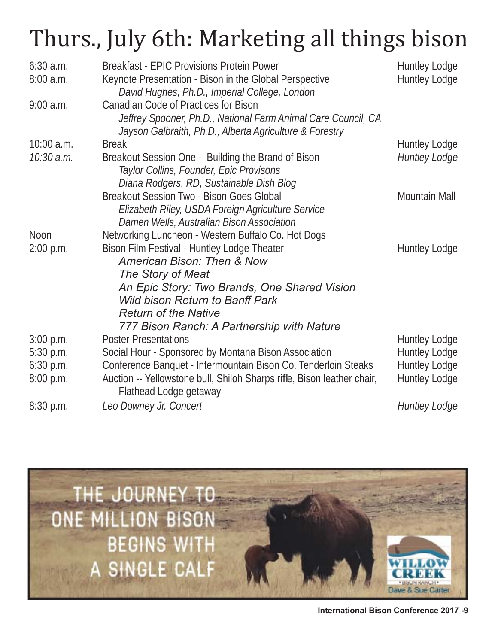## Thurs., July 6th: Marketing all things bison

| $6:30$ a.m.  | <b>Breakfast - EPIC Provisions Protein Power</b>                                                 | <b>Huntley Lodge</b> |
|--------------|--------------------------------------------------------------------------------------------------|----------------------|
| 8:00a.m.     | Keynote Presentation - Bison in the Global Perspective                                           | Huntley Lodge        |
|              | David Hughes, Ph.D., Imperial College, London                                                    |                      |
| $9:00$ a.m.  | Canadian Code of Practices for Bison                                                             |                      |
|              | Jeffrey Spooner, Ph.D., National Farm Animal Care Council, CA                                    |                      |
|              | Jayson Galbraith, Ph.D., Alberta Agriculture & Forestry                                          |                      |
| $10:00$ a.m. | <b>Break</b>                                                                                     | Huntley Lodge        |
| 10:30 a.m.   | Breakout Session One - Building the Brand of Bison                                               | <b>Huntley Lodge</b> |
|              | Taylor Collins, Founder, Epic Provisons                                                          |                      |
|              | Diana Rodgers, RD, Sustainable Dish Blog                                                         |                      |
|              | Breakout Session Two - Bison Goes Global                                                         | Mountain Mall        |
|              | Elizabeth Riley, USDA Foreign Agriculture Service                                                |                      |
|              | Damen Wells, Australian Bison Association                                                        |                      |
| Noon         | Networking Luncheon - Western Buffalo Co. Hot Dogs                                               |                      |
| 2:00 p.m.    | Bison Film Festival - Huntley Lodge Theater                                                      | Huntley Lodge        |
|              | <b>American Bison: Then &amp; Now</b>                                                            |                      |
|              | The Story of Meat                                                                                |                      |
|              | An Epic Story: Two Brands, One Shared Vision                                                     |                      |
|              | <b>Wild bison Return to Banff Park</b>                                                           |                      |
|              | <b>Return of the Native</b>                                                                      |                      |
|              | 777 Bison Ranch: A Partnership with Nature<br><b>Poster Presentations</b>                        |                      |
| $3:00$ p.m.  |                                                                                                  | Huntley Lodge        |
| 5:30 p.m.    | Social Hour - Sponsored by Montana Bison Association                                             | Huntley Lodge        |
| $6:30$ p.m.  | Conference Banquet - Intermountain Bison Co. Tenderloin Steaks                                   | <b>Huntley Lodge</b> |
| 8:00 p.m.    | Auction -- Yellowstone bull, Shiloh Sharps rifle, Bison leather chair,<br>Flathead Lodge getaway | Huntley Lodge        |
| 8:30 p.m.    | Leo Downey Jr. Concert                                                                           | <b>Huntley Lodge</b> |